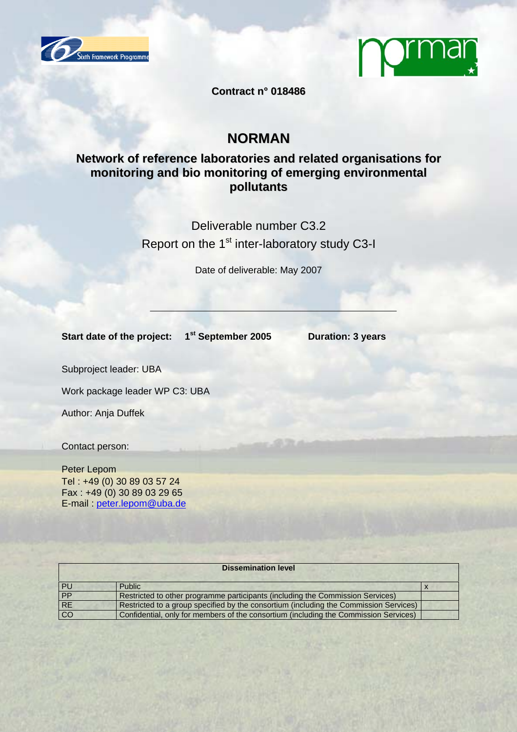



**Contract n° 018486**

# **NORMAN**

## **Network of reference laboratories and related organisations for monitoring and bio monitoring of emerging environmental pollutants**

Deliverable number C3.2 Report on the 1<sup>st</sup> inter-laboratory study C3-I

Date of deliverable: May 2007

Start date of the project: 1<sup>st</sup> September 2005 Duration: 3 years

Subproject leader: UBA

Work package leader WP C3: UBA

Author: Anja Duffek

Contact person:

Peter Lepom Tel : +49 (0) 30 89 03 57 24 Fax : +49 (0) 30 89 03 29 65 E-mail : peter.lepom@uba.de

| <b>Dissemination level</b> |                                                                                       |  |  |  |  |
|----------------------------|---------------------------------------------------------------------------------------|--|--|--|--|
| PU                         | Public                                                                                |  |  |  |  |
| PP                         | Restricted to other programme participants (including the Commission Services)        |  |  |  |  |
| RE                         | Restricted to a group specified by the consortium (including the Commission Services) |  |  |  |  |
| $\overline{CO}$            | Confidential, only for members of the consortium (including the Commission Services)  |  |  |  |  |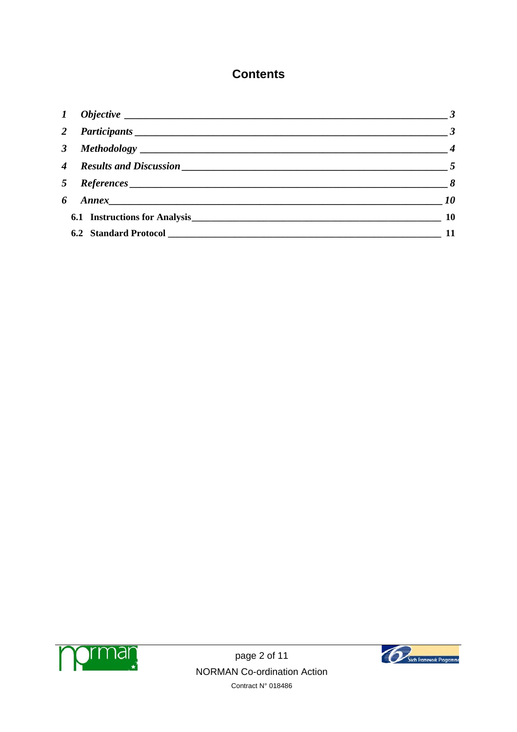# **Contents**

| $\bm{l}$       |                                  | $\frac{3}{2}$               |
|----------------|----------------------------------|-----------------------------|
| $\overline{2}$ |                                  |                             |
|                |                                  | $\frac{1}{2}$ $\frac{1}{4}$ |
|                |                                  |                             |
|                | 5 References                     | $\overline{\phantom{a}}$ 8  |
| 6              |                                  | $\overline{\phantom{a}10}$  |
|                | 6.1 Instructions for Analysis 10 |                             |
|                |                                  |                             |



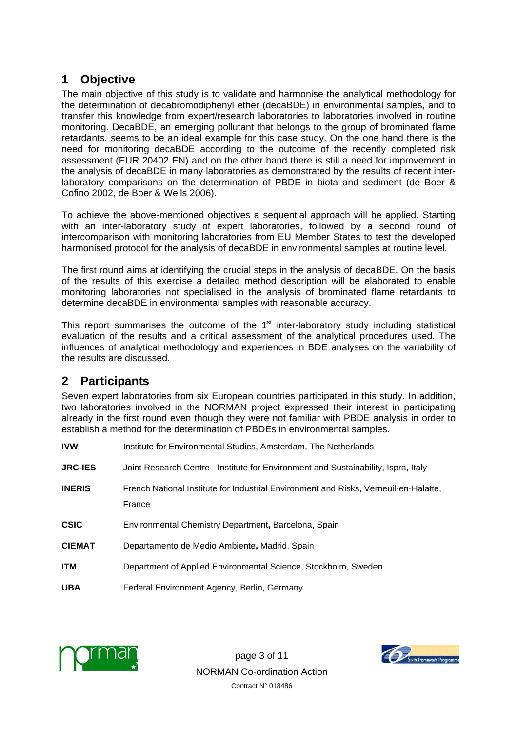# **1 Objective**

The main objective of this study is to validate and harmonise the analytical methodology for the determination of decabromodiphenyl ether (decaBDE) in environmental samples, and to transfer this knowledge from expert/research laboratories to laboratories involved in routine monitoring. DecaBDE, an emerging pollutant that belongs to the group of brominated flame retardants, seems to be an ideal example for this case study. On the one hand there is the need for monitoring decaBDE according to the outcome of the recently completed risk assessment (EUR 20402 EN) and on the other hand there is still a need for improvement in the analysis of decaBDE in many laboratories as demonstrated by the results of recent interlaboratory comparisons on the determination of PBDE in biota and sediment (de Boer & Cofino 2002, de Boer & Wells 2006).

To achieve the above-mentioned objectives a sequential approach will be applied. Starting with an inter-laboratory study of expert laboratories, followed by a second round of intercomparison with monitoring laboratories from EU Member States to test the developed harmonised protocol for the analysis of decaBDE in environmental samples at routine level.

The first round aims at identifying the crucial steps in the analysis of decaBDE. On the basis of the results of this exercise a detailed method description will be elaborated to enable monitoring laboratories not specialised in the analysis of brominated flame retardants to determine decaBDE in environmental samples with reasonable accuracy.

This report summarises the outcome of the  $1<sup>st</sup>$  inter-laboratory study including statistical evaluation of the results and a critical assessment of the analytical procedures used. The influences of analytical methodology and experiences in BDE analyses on the variability of the results are discussed.

# **2 Participants**

Seven expert laboratories from six European countries participated in this study. In addition, two laboratories involved in the NORMAN project expressed their interest in participating already in the first round even though they were not familiar with PBDE analysis in order to establish a method for the determination of PBDEs in environmental samples.

| <b>IVW</b>     | Institute for Environmental Studies, Amsterdam, The Netherlands                                |  |  |  |
|----------------|------------------------------------------------------------------------------------------------|--|--|--|
| <b>JRC-IES</b> | Joint Research Centre - Institute for Environment and Sustainability, Ispra, Italy             |  |  |  |
| <b>INERIS</b>  | French National Institute for Industrial Environment and Risks, Verneuil-en-Halatte,<br>France |  |  |  |
| <b>CSIC</b>    | Environmental Chemistry Department, Barcelona, Spain                                           |  |  |  |
| <b>CIEMAT</b>  | Departamento de Medio Ambiente, Madrid, Spain                                                  |  |  |  |
| <b>ITM</b>     | Department of Applied Environmental Science, Stockholm, Sweden                                 |  |  |  |
| <b>UBA</b>     | Federal Environment Agency, Berlin, Germany                                                    |  |  |  |



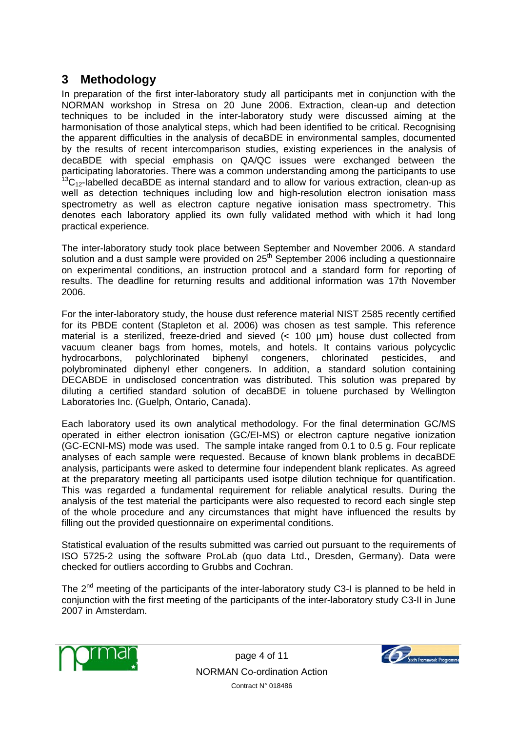# **3 Methodology**

In preparation of the first inter-laboratory study all participants met in conjunction with the NORMAN workshop in Stresa on 20 June 2006. Extraction, clean-up and detection techniques to be included in the inter-laboratory study were discussed aiming at the harmonisation of those analytical steps, which had been identified to be critical. Recognising the apparent difficulties in the analysis of decaBDE in environmental samples, documented by the results of recent intercomparison studies, existing experiences in the analysis of decaBDE with special emphasis on QA/QC issues were exchanged between the participating laboratories. There was a common understanding among the participants to use  $^{13}C_{12}$ -labelled decaBDE as internal standard and to allow for various extraction, clean-up as well as detection techniques including low and high-resolution electron ionisation mass spectrometry as well as electron capture negative ionisation mass spectrometry. This denotes each laboratory applied its own fully validated method with which it had long practical experience.

The inter-laboratory study took place between September and November 2006. A standard solution and a dust sample were provided on 25<sup>th</sup> September 2006 including a questionnaire on experimental conditions, an instruction protocol and a standard form for reporting of results. The deadline for returning results and additional information was 17th November 2006.

For the inter-laboratory study, the house dust reference material NIST 2585 recently certified for its PBDE content (Stapleton et al. 2006) was chosen as test sample. This reference material is a sterilized, freeze-dried and sieved (< 100 µm) house dust collected from vacuum cleaner bags from homes, motels, and hotels. It contains various polycyclic hydrocarbons, polychlorinated biphenyl congeners, chlorinated pesticides, and polybrominated diphenyl ether congeners. In addition, a standard solution containing DECABDE in undisclosed concentration was distributed. This solution was prepared by diluting a certified standard solution of decaBDE in toluene purchased by Wellington Laboratories Inc. (Guelph, Ontario, Canada).

Each laboratory used its own analytical methodology. For the final determination GC/MS operated in either electron ionisation (GC/EI-MS) or electron capture negative ionization (GC-ECNI-MS) mode was used. The sample intake ranged from 0.1 to 0.5 g. Four replicate analyses of each sample were requested. Because of known blank problems in decaBDE analysis, participants were asked to determine four independent blank replicates. As agreed at the preparatory meeting all participants used isotpe dilution technique for quantification. This was regarded a fundamental requirement for reliable analytical results. During the analysis of the test material the participants were also requested to record each single step of the whole procedure and any circumstances that might have influenced the results by filling out the provided questionnaire on experimental conditions.

Statistical evaluation of the results submitted was carried out pursuant to the requirements of ISO 5725-2 using the software ProLab (quo data Ltd., Dresden, Germany). Data were checked for outliers according to Grubbs and Cochran.

The 2<sup>nd</sup> meeting of the participants of the inter-laboratory study C3-I is planned to be held in conjunction with the first meeting of the participants of the inter-laboratory study C3-II in June 2007 in Amsterdam.



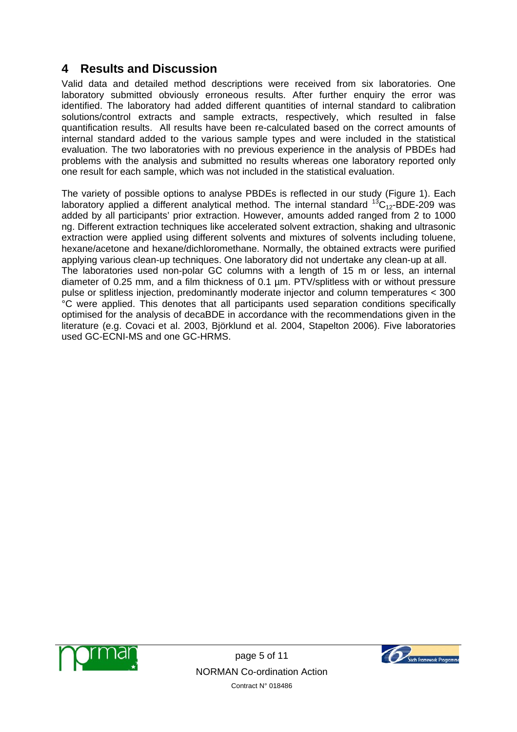# **4 Results and Discussion**

Valid data and detailed method descriptions were received from six laboratories. One laboratory submitted obviously erroneous results. After further enquiry the error was identified. The laboratory had added different quantities of internal standard to calibration solutions/control extracts and sample extracts, respectively, which resulted in false quantification results. All results have been re-calculated based on the correct amounts of internal standard added to the various sample types and were included in the statistical evaluation. The two laboratories with no previous experience in the analysis of PBDEs had problems with the analysis and submitted no results whereas one laboratory reported only one result for each sample, which was not included in the statistical evaluation.

The variety of possible options to analyse PBDEs is reflected in our study (Figure 1). Each laboratory applied a different analytical method. The internal standard  $^{13}C_{12}$ -BDE-209 was added by all participants' prior extraction. However, amounts added ranged from 2 to 1000 ng. Different extraction techniques like accelerated solvent extraction, shaking and ultrasonic extraction were applied using different solvents and mixtures of solvents including toluene, hexane/acetone and hexane/dichloromethane. Normally, the obtained extracts were purified applying various clean-up techniques. One laboratory did not undertake any clean-up at all. The laboratories used non-polar GC columns with a length of 15 m or less, an internal diameter of 0.25 mm, and a film thickness of 0.1 µm. PTV/splitless with or without pressure pulse or splitless injection, predominantly moderate injector and column temperatures < 300 °C were applied. This denotes that all participants used separation conditions specifically optimised for the analysis of decaBDE in accordance with the recommendations given in the literature (e.g. Covaci et al. 2003, Björklund et al. 2004, Stapelton 2006). Five laboratories used GC-ECNI-MS and one GC-HRMS.



page 5 of 11 NORMAN Co-ordination Action Contract N° 018486

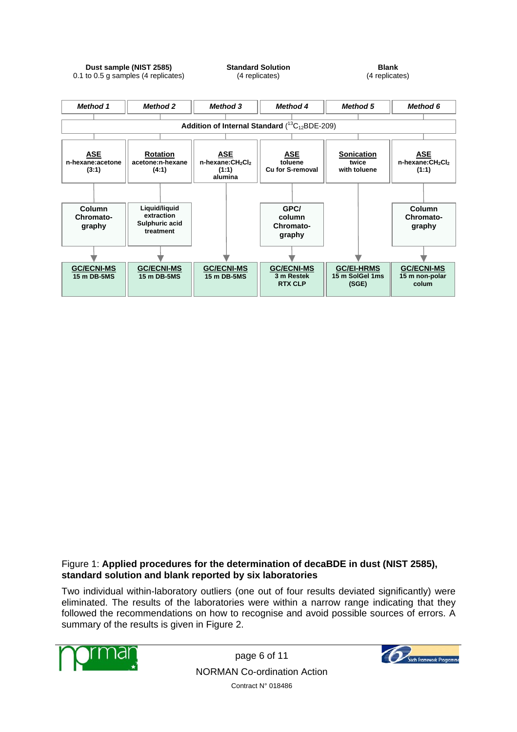



#### Figure 1: **Applied procedures for the determination of decaBDE in dust (NIST 2585), standard solution and blank reported by six laboratories**

Two individual within-laboratory outliers (one out of four results deviated significantly) were eliminated. The results of the laboratories were within a narrow range indicating that they followed the recommendations on how to recognise and avoid possible sources of errors. A summary of the results is given in Figure 2.



page 6 of 11 NORMAN Co-ordination Action Contract N° 018486

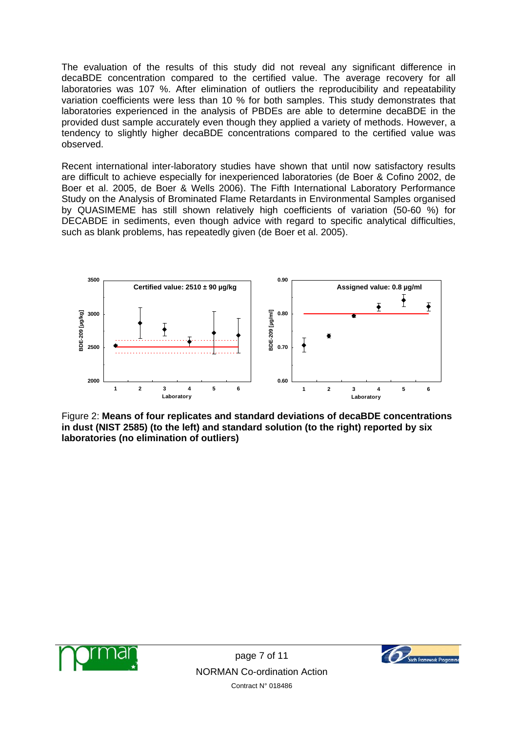The evaluation of the results of this study did not reveal any significant difference in decaBDE concentration compared to the certified value. The average recovery for all laboratories was 107 %. After elimination of outliers the reproducibility and repeatability variation coefficients were less than 10 % for both samples. This study demonstrates that laboratories experienced in the analysis of PBDEs are able to determine decaBDE in the provided dust sample accurately even though they applied a variety of methods. However, a tendency to slightly higher decaBDE concentrations compared to the certified value was observed.

Recent international inter-laboratory studies have shown that until now satisfactory results are difficult to achieve especially for inexperienced laboratories (de Boer & Cofino 2002, de Boer et al. 2005, de Boer & Wells 2006). The Fifth International Laboratory Performance Study on the Analysis of Brominated Flame Retardants in Environmental Samples organised by QUASIMEME has still shown relatively high coefficients of variation (50-60 %) for DECABDE in sediments, even though advice with regard to specific analytical difficulties, such as blank problems, has repeatedly given (de Boer et al. 2005).



Figure 2: **Means of four replicates and standard deviations of decaBDE concentrations in dust (NIST 2585) (to the left) and standard solution (to the right) reported by six laboratories (no elimination of outliers)** 



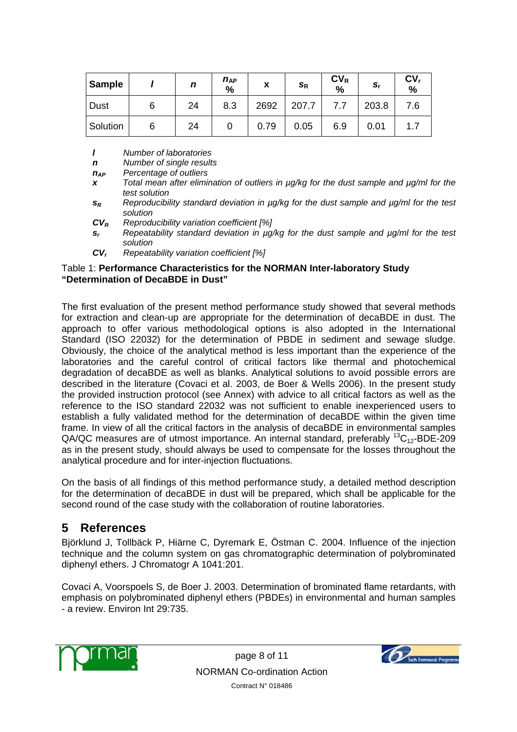| <b>Sample</b> |   | n  | $n_{AP}$<br>% | X    | $\mathsf{s}_\mathsf{R}$ | $CV_R$<br>$\frac{0}{0}$ | s,    | CV <sub>r</sub><br>$\frac{1}{2}$ |
|---------------|---|----|---------------|------|-------------------------|-------------------------|-------|----------------------------------|
| <b>Dust</b>   | 6 | 24 | 8.3           | 2692 | 207.7                   | 7.7                     | 203.8 | 7.6                              |
| Solution      | 6 | 24 |               | 0.79 | 0.05                    | 6.9                     | 0.01  | 1.7                              |

*l Number of laboratories*

*n Number of single results*

*nAP Percentage of outliers*

- *x Total mean after elimination of outliers in µg/kg for the dust sample and µg/ml for the test solution*
- *sR Reproducibility standard deviation in µg/kg for the dust sample and µg/ml for the test solution*

*CVR Reproducibility variation coefficient [%]*

- *sr Repeatability standard deviation in µg/kg for the dust sample and µg/ml for the test solution*
- *CVr Repeatability variation coefficient [%]*

#### Table 1: **Performance Characteristics for the NORMAN Inter-laboratory Study "Determination of DecaBDE in Dust"**

The first evaluation of the present method performance study showed that several methods for extraction and clean-up are appropriate for the determination of decaBDE in dust. The approach to offer various methodological options is also adopted in the International Standard (ISO 22032) for the determination of PBDE in sediment and sewage sludge. Obviously, the choice of the analytical method is less important than the experience of the laboratories and the careful control of critical factors like thermal and photochemical degradation of decaBDE as well as blanks. Analytical solutions to avoid possible errors are described in the literature (Covaci et al. 2003, de Boer & Wells 2006). In the present study the provided instruction protocol (see Annex) with advice to all critical factors as well as the reference to the ISO standard 22032 was not sufficient to enable inexperienced users to establish a fully validated method for the determination of decaBDE within the given time frame. In view of all the critical factors in the analysis of decaBDE in environmental samples QA/QC measures are of utmost importance. An internal standard, preferably  ${}^{13}C_{12}$ -BDE-209 as in the present study, should always be used to compensate for the losses throughout the analytical procedure and for inter-injection fluctuations.

On the basis of all findings of this method performance study, a detailed method description for the determination of decaBDE in dust will be prepared, which shall be applicable for the second round of the case study with the collaboration of routine laboratories.

## **5 References**

Björklund J, Tollbäck P, Hiärne C, Dyremark E, Östman C. 2004. Influence of the injection technique and the column system on gas chromatographic determination of polybrominated diphenyl ethers. J Chromatogr A 1041:201.

Covaci A, Voorspoels S, de Boer J. 2003. Determination of brominated flame retardants, with emphasis on polybrominated diphenyl ethers (PBDEs) in environmental and human samples - a review. Environ Int 29:735.



page 8 of 11 NORMAN Co-ordination Action Contract N° 018486

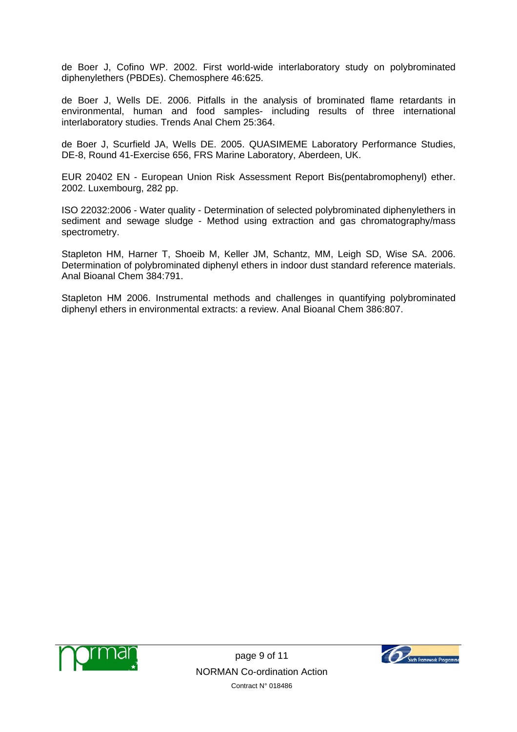de Boer J, Cofino WP. 2002. First world-wide interlaboratory study on polybrominated diphenylethers (PBDEs). Chemosphere 46:625.

de Boer J, Wells DE. 2006. Pitfalls in the analysis of brominated flame retardants in environmental, human and food samples- including results of three international interlaboratory studies. Trends Anal Chem 25:364.

de Boer J, Scurfield JA, Wells DE. 2005. QUASIMEME Laboratory Performance Studies, DE-8, Round 41-Exercise 656, FRS Marine Laboratory, Aberdeen, UK.

EUR 20402 EN - European Union Risk Assessment Report Bis(pentabromophenyl) ether. 2002. Luxembourg, 282 pp.

ISO 22032:2006 - Water quality - Determination of selected polybrominated diphenylethers in sediment and sewage sludge - Method using extraction and gas chromatography/mass spectrometry.

Stapleton HM, Harner T, Shoeib M, Keller JM, Schantz, MM, Leigh SD, Wise SA. 2006. Determination of polybrominated diphenyl ethers in indoor dust standard reference materials. Anal Bioanal Chem 384:791.

Stapleton HM 2006. Instrumental methods and challenges in quantifying polybrominated diphenyl ethers in environmental extracts: a review. Anal Bioanal Chem 386:807.



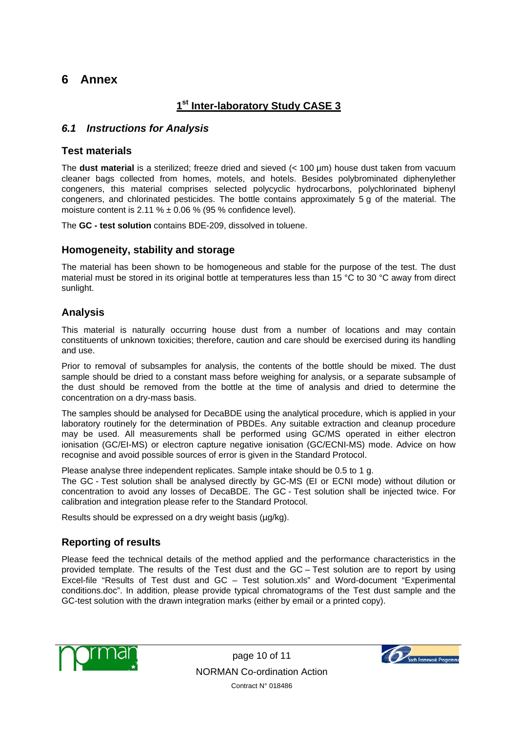## **6 Annex**

## **1st Inter-laboratory Study CASE 3**

### *6.1 Instructions for Analysis*

#### **Test materials**

The **dust material** is a sterilized; freeze dried and sieved (< 100 µm) house dust taken from vacuum cleaner bags collected from homes, motels, and hotels. Besides polybrominated diphenylether congeners, this material comprises selected polycyclic hydrocarbons, polychlorinated biphenyl congeners, and chlorinated pesticides. The bottle contains approximately 5 g of the material. The moisture content is 2.11 %  $\pm$  0.06 % (95 % confidence level).

The **GC - test solution** contains BDE-209, dissolved in toluene.

#### **Homogeneity, stability and storage**

The material has been shown to be homogeneous and stable for the purpose of the test. The dust material must be stored in its original bottle at temperatures less than 15 °C to 30 °C away from direct sunlight.

### **Analysis**

This material is naturally occurring house dust from a number of locations and may contain constituents of unknown toxicities; therefore, caution and care should be exercised during its handling and use.

Prior to removal of subsamples for analysis, the contents of the bottle should be mixed. The dust sample should be dried to a constant mass before weighing for analysis, or a separate subsample of the dust should be removed from the bottle at the time of analysis and dried to determine the concentration on a dry-mass basis.

The samples should be analysed for DecaBDE using the analytical procedure, which is applied in your laboratory routinely for the determination of PBDEs. Any suitable extraction and cleanup procedure may be used. All measurements shall be performed using GC/MS operated in either electron ionisation (GC/EI-MS) or electron capture negative ionisation (GC/ECNI-MS) mode. Advice on how recognise and avoid possible sources of error is given in the Standard Protocol.

Please analyse three independent replicates. Sample intake should be 0.5 to 1 g. The GC - Test solution shall be analysed directly by GC-MS (EI or ECNI mode) without dilution or concentration to avoid any losses of DecaBDE. The GC - Test solution shall be injected twice. For calibration and integration please refer to the Standard Protocol.

Results should be expressed on a dry weight basis (µg/kg).

### **Reporting of results**

Please feed the technical details of the method applied and the performance characteristics in the provided template. The results of the Test dust and the GC – Test solution are to report by using Excel-file "Results of Test dust and GC – Test solution.xls" and Word-document "Experimental conditions.doc". In addition, please provide typical chromatograms of the Test dust sample and the GC-test solution with the drawn integration marks (either by email or a printed copy).



page 10 of 11 NORMAN Co-ordination Action Contract N° 018486